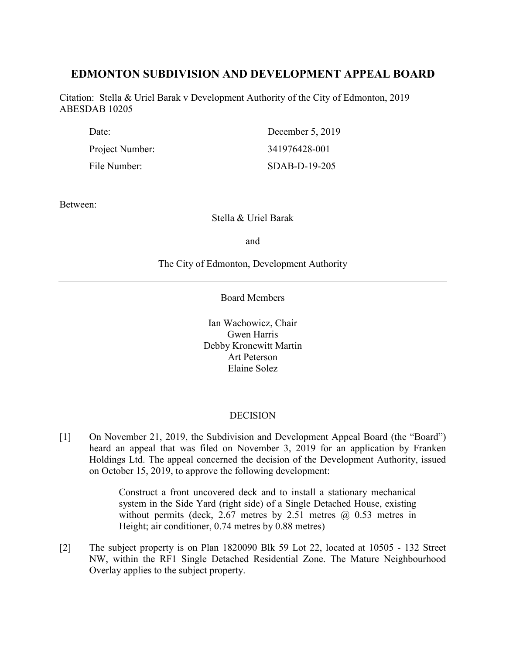# **EDMONTON SUBDIVISION AND DEVELOPMENT APPEAL BOARD**

Citation: Stella & Uriel Barak v Development Authority of the City of Edmonton, 2019 ABESDAB 10205

| Date:           | December 5, 2019 |
|-----------------|------------------|
| Project Number: | 341976428-001    |
| File Number:    | SDAB-D-19-205    |

Between:

Stella & Uriel Barak

and

# The City of Edmonton, Development Authority

Board Members

Ian Wachowicz, Chair Gwen Harris Debby Kronewitt Martin Art Peterson Elaine Solez

# **DECISION**

[1] On November 21, 2019, the Subdivision and Development Appeal Board (the "Board") heard an appeal that was filed on November 3, 2019 for an application by Franken Holdings Ltd. The appeal concerned the decision of the Development Authority, issued on October 15, 2019, to approve the following development:

> Construct a front uncovered deck and to install a stationary mechanical system in the Side Yard (right side) of a Single Detached House, existing without permits (deck,  $2.67$  metres by  $2.51$  metres  $\omega$  0.53 metres in Height; air conditioner, 0.74 metres by 0.88 metres)

[2] The subject property is on Plan 1820090 Blk 59 Lot 22, located at 10505 - 132 Street NW, within the RF1 Single Detached Residential Zone. The Mature Neighbourhood Overlay applies to the subject property.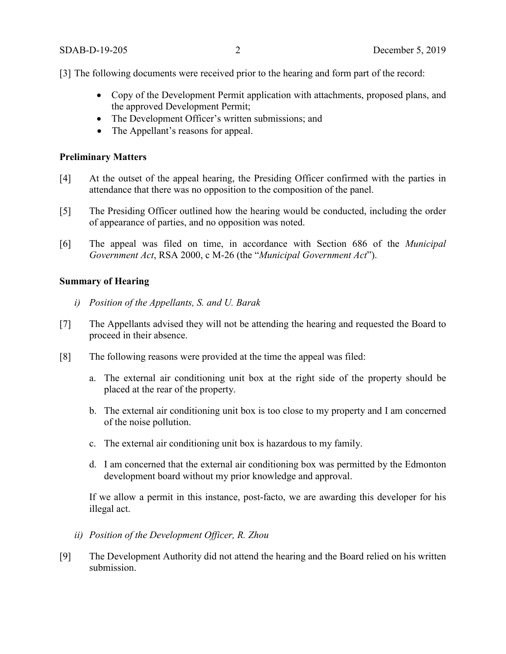[3] The following documents were received prior to the hearing and form part of the record:

- Copy of the Development Permit application with attachments, proposed plans, and the approved Development Permit;
- The Development Officer's written submissions; and
- The Appellant's reasons for appeal.

#### **Preliminary Matters**

- [4] At the outset of the appeal hearing, the Presiding Officer confirmed with the parties in attendance that there was no opposition to the composition of the panel.
- [5] The Presiding Officer outlined how the hearing would be conducted, including the order of appearance of parties, and no opposition was noted.
- [6] The appeal was filed on time, in accordance with Section 686 of the *Municipal Government Act*, RSA 2000, c M-26 (the "*Municipal Government Act*").

# **Summary of Hearing**

- *i) Position of the Appellants, S. and U. Barak*
- [7] The Appellants advised they will not be attending the hearing and requested the Board to proceed in their absence.
- [8] The following reasons were provided at the time the appeal was filed:
	- a. The external air conditioning unit box at the right side of the property should be placed at the rear of the property.
	- b. The external air conditioning unit box is too close to my property and I am concerned of the noise pollution.
	- c. The external air conditioning unit box is hazardous to my family.
	- d. I am concerned that the external air conditioning box was permitted by the Edmonton development board without my prior knowledge and approval.

If we allow a permit in this instance, post-facto, we are awarding this developer for his illegal act.

- *ii) Position of the Development Officer, R. Zhou*
- [9] The Development Authority did not attend the hearing and the Board relied on his written submission.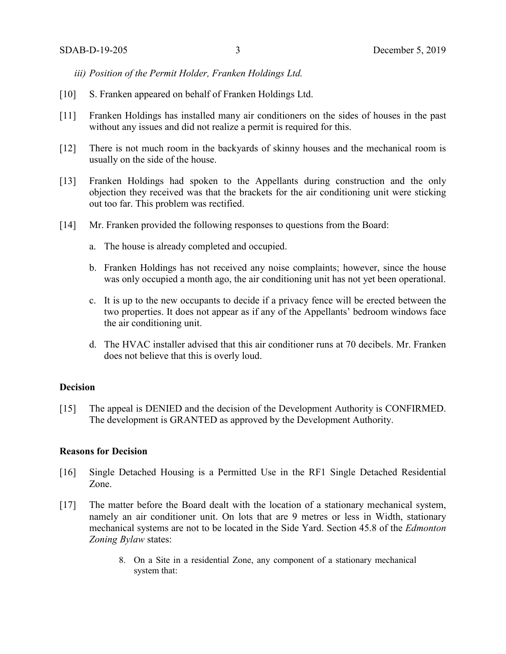- *iii) Position of the Permit Holder, Franken Holdings Ltd.*
- [10] S. Franken appeared on behalf of Franken Holdings Ltd.
- [11] Franken Holdings has installed many air conditioners on the sides of houses in the past without any issues and did not realize a permit is required for this.
- [12] There is not much room in the backyards of skinny houses and the mechanical room is usually on the side of the house.
- [13] Franken Holdings had spoken to the Appellants during construction and the only objection they received was that the brackets for the air conditioning unit were sticking out too far. This problem was rectified.
- [14] Mr. Franken provided the following responses to questions from the Board:
	- a. The house is already completed and occupied.
	- b. Franken Holdings has not received any noise complaints; however, since the house was only occupied a month ago, the air conditioning unit has not yet been operational.
	- c. It is up to the new occupants to decide if a privacy fence will be erected between the two properties. It does not appear as if any of the Appellants' bedroom windows face the air conditioning unit.
	- d. The HVAC installer advised that this air conditioner runs at 70 decibels. Mr. Franken does not believe that this is overly loud.

#### **Decision**

[15] The appeal is DENIED and the decision of the Development Authority is CONFIRMED. The development is GRANTED as approved by the Development Authority.

#### **Reasons for Decision**

- [16] Single Detached Housing is a Permitted Use in the RF1 Single Detached Residential Zone.
- [17] The matter before the Board dealt with the location of a stationary mechanical system, namely an air conditioner unit. On lots that are 9 metres or less in Width, stationary mechanical systems are not to be located in the Side Yard. Section 45.8 of the *Edmonton Zoning Bylaw* states:
	- 8. On a Site in a residential Zone, any component of a stationary mechanical system that: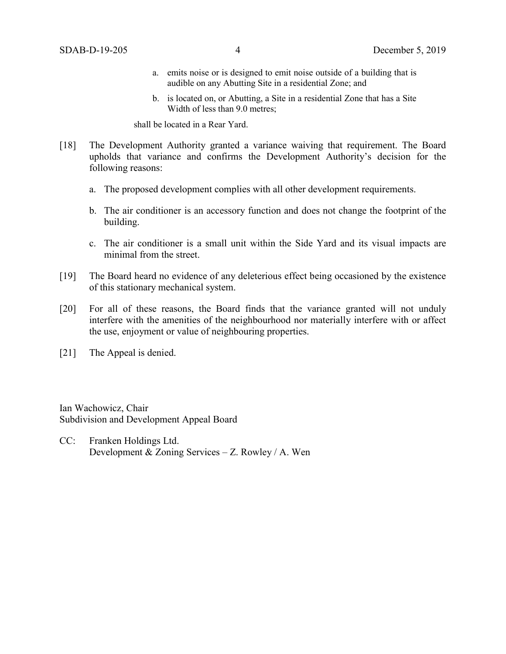- a. emits noise or is designed to emit noise outside of a building that is audible on any Abutting Site in a residential Zone; and
- b. is located on, or Abutting, a Site in a residential Zone that has a Site Width of less tha[n 9.0 me](javascript:void(0);)tres;

shall be located in a Rear Yard.

- [18] The Development Authority granted a variance waiving that requirement. The Board upholds that variance and confirms the Development Authority's decision for the following reasons:
	- a. The proposed development complies with all other development requirements.
	- b. The air conditioner is an accessory function and does not change the footprint of the building.
	- c. The air conditioner is a small unit within the Side Yard and its visual impacts are minimal from the street.
- [19] The Board heard no evidence of any deleterious effect being occasioned by the existence of this stationary mechanical system.
- [20] For all of these reasons, the Board finds that the variance granted will not unduly interfere with the amenities of the neighbourhood nor materially interfere with or affect the use, enjoyment or value of neighbouring properties.
- [21] The Appeal is denied.

Ian Wachowicz, Chair Subdivision and Development Appeal Board

CC: Franken Holdings Ltd. Development & Zoning Services – Z. Rowley / A. Wen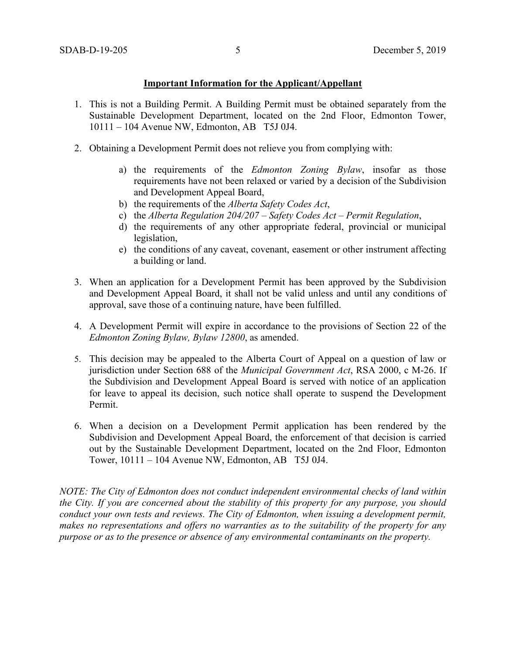# **Important Information for the Applicant/Appellant**

- 1. This is not a Building Permit. A Building Permit must be obtained separately from the Sustainable Development Department, located on the 2nd Floor, Edmonton Tower, 10111 – 104 Avenue NW, Edmonton, AB T5J 0J4.
- 2. Obtaining a Development Permit does not relieve you from complying with:
	- a) the requirements of the *Edmonton Zoning Bylaw*, insofar as those requirements have not been relaxed or varied by a decision of the Subdivision and Development Appeal Board,
	- b) the requirements of the *Alberta Safety Codes Act*,
	- c) the *Alberta Regulation 204/207 – Safety Codes Act – Permit Regulation*,
	- d) the requirements of any other appropriate federal, provincial or municipal legislation,
	- e) the conditions of any caveat, covenant, easement or other instrument affecting a building or land.
- 3. When an application for a Development Permit has been approved by the Subdivision and Development Appeal Board, it shall not be valid unless and until any conditions of approval, save those of a continuing nature, have been fulfilled.
- 4. A Development Permit will expire in accordance to the provisions of Section 22 of the *Edmonton Zoning Bylaw, Bylaw 12800*, as amended.
- 5. This decision may be appealed to the Alberta Court of Appeal on a question of law or jurisdiction under Section 688 of the *Municipal Government Act*, RSA 2000, c M-26. If the Subdivision and Development Appeal Board is served with notice of an application for leave to appeal its decision, such notice shall operate to suspend the Development Permit.
- 6. When a decision on a Development Permit application has been rendered by the Subdivision and Development Appeal Board, the enforcement of that decision is carried out by the Sustainable Development Department, located on the 2nd Floor, Edmonton Tower, 10111 – 104 Avenue NW, Edmonton, AB T5J 0J4.

*NOTE: The City of Edmonton does not conduct independent environmental checks of land within the City. If you are concerned about the stability of this property for any purpose, you should conduct your own tests and reviews. The City of Edmonton, when issuing a development permit, makes no representations and offers no warranties as to the suitability of the property for any purpose or as to the presence or absence of any environmental contaminants on the property.*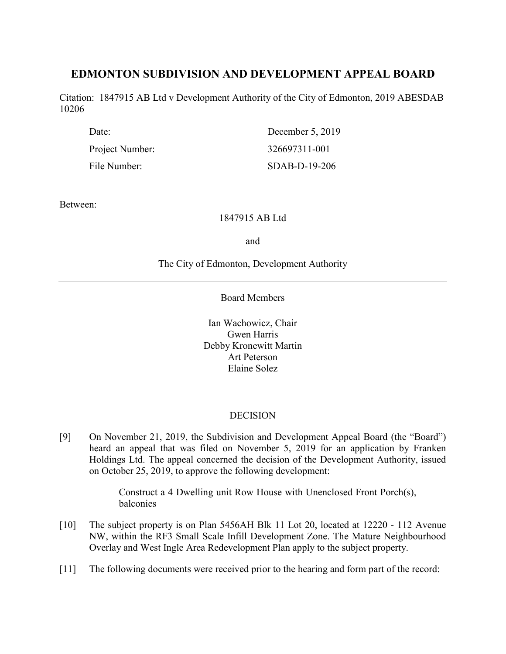# **EDMONTON SUBDIVISION AND DEVELOPMENT APPEAL BOARD**

Citation: 1847915 AB Ltd v Development Authority of the City of Edmonton, 2019 ABESDAB 10206

| Date:           | December 5, 2019 |
|-----------------|------------------|
| Project Number: | 326697311-001    |
| File Number:    | SDAB-D-19-206    |

Between:

# 1847915 AB Ltd

and

# The City of Edmonton, Development Authority

Board Members

Ian Wachowicz, Chair Gwen Harris Debby Kronewitt Martin Art Peterson Elaine Solez

# **DECISION**

[9] On November 21, 2019, the Subdivision and Development Appeal Board (the "Board") heard an appeal that was filed on November 5, 2019 for an application by Franken Holdings Ltd. The appeal concerned the decision of the Development Authority, issued on October 25, 2019, to approve the following development:

> Construct a 4 Dwelling unit Row House with Unenclosed Front Porch(s), balconies

- [10] The subject property is on Plan 5456AH Blk 11 Lot 20, located at 12220 112 Avenue NW, within the RF3 Small Scale Infill Development Zone. The Mature Neighbourhood Overlay and West Ingle Area Redevelopment Plan apply to the subject property.
- [11] The following documents were received prior to the hearing and form part of the record: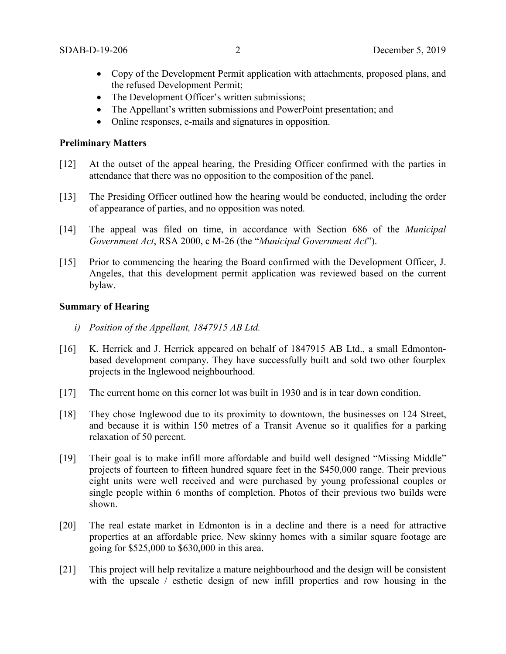- Copy of the Development Permit application with attachments, proposed plans, and the refused Development Permit;
- The Development Officer's written submissions;
- The Appellant's written submissions and PowerPoint presentation; and
- Online responses, e-mails and signatures in opposition.

### **Preliminary Matters**

- [12] At the outset of the appeal hearing, the Presiding Officer confirmed with the parties in attendance that there was no opposition to the composition of the panel.
- [13] The Presiding Officer outlined how the hearing would be conducted, including the order of appearance of parties, and no opposition was noted.
- [14] The appeal was filed on time, in accordance with Section 686 of the *Municipal Government Act*, RSA 2000, c M-26 (the "*Municipal Government Act*").
- [15] Prior to commencing the hearing the Board confirmed with the Development Officer, J. Angeles, that this development permit application was reviewed based on the current bylaw.

#### **Summary of Hearing**

- *i) Position of the Appellant, 1847915 AB Ltd.*
- [16] K. Herrick and J. Herrick appeared on behalf of 1847915 AB Ltd., a small Edmontonbased development company. They have successfully built and sold two other fourplex projects in the Inglewood neighbourhood.
- [17] The current home on this corner lot was built in 1930 and is in tear down condition.
- [18] They chose Inglewood due to its proximity to downtown, the businesses on 124 Street, and because it is within 150 metres of a Transit Avenue so it qualifies for a parking relaxation of 50 percent.
- [19] Their goal is to make infill more affordable and build well designed "Missing Middle" projects of fourteen to fifteen hundred square feet in the \$450,000 range. Their previous eight units were well received and were purchased by young professional couples or single people within 6 months of completion. Photos of their previous two builds were shown.
- [20] The real estate market in Edmonton is in a decline and there is a need for attractive properties at an affordable price. New skinny homes with a similar square footage are going for \$525,000 to \$630,000 in this area.
- [21] This project will help revitalize a mature neighbourhood and the design will be consistent with the upscale / esthetic design of new infill properties and row housing in the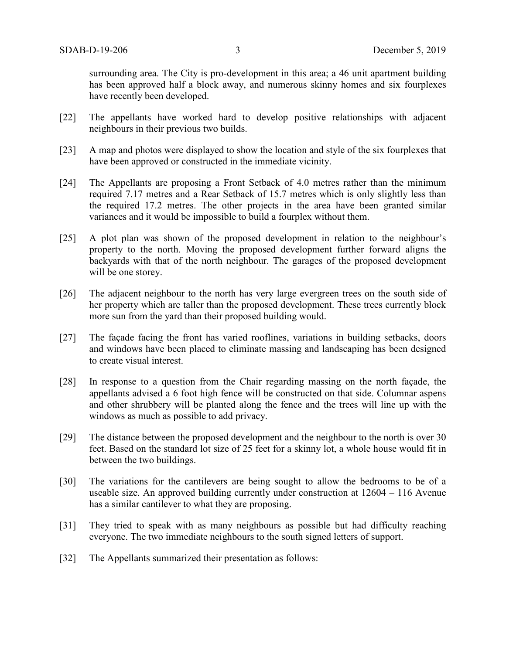surrounding area. The City is pro-development in this area; a 46 unit apartment building has been approved half a block away, and numerous skinny homes and six fourplexes have recently been developed.

- [22] The appellants have worked hard to develop positive relationships with adjacent neighbours in their previous two builds.
- [23] A map and photos were displayed to show the location and style of the six fourplexes that have been approved or constructed in the immediate vicinity.
- [24] The Appellants are proposing a Front Setback of 4.0 metres rather than the minimum required 7.17 metres and a Rear Setback of 15.7 metres which is only slightly less than the required 17.2 metres. The other projects in the area have been granted similar variances and it would be impossible to build a fourplex without them.
- [25] A plot plan was shown of the proposed development in relation to the neighbour's property to the north. Moving the proposed development further forward aligns the backyards with that of the north neighbour. The garages of the proposed development will be one storey.
- [26] The adjacent neighbour to the north has very large evergreen trees on the south side of her property which are taller than the proposed development. These trees currently block more sun from the yard than their proposed building would.
- [27] The façade facing the front has varied rooflines, variations in building setbacks, doors and windows have been placed to eliminate massing and landscaping has been designed to create visual interest.
- [28] In response to a question from the Chair regarding massing on the north façade, the appellants advised a 6 foot high fence will be constructed on that side. Columnar aspens and other shrubbery will be planted along the fence and the trees will line up with the windows as much as possible to add privacy.
- [29] The distance between the proposed development and the neighbour to the north is over 30 feet. Based on the standard lot size of 25 feet for a skinny lot, a whole house would fit in between the two buildings.
- [30] The variations for the cantilevers are being sought to allow the bedrooms to be of a useable size. An approved building currently under construction at 12604 – 116 Avenue has a similar cantilever to what they are proposing.
- [31] They tried to speak with as many neighbours as possible but had difficulty reaching everyone. The two immediate neighbours to the south signed letters of support.
- [32] The Appellants summarized their presentation as follows: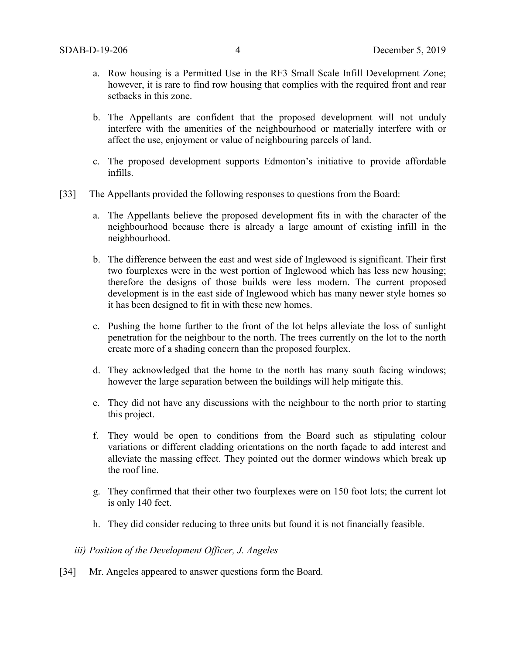- a. Row housing is a Permitted Use in the RF3 Small Scale Infill Development Zone; however, it is rare to find row housing that complies with the required front and rear setbacks in this zone.
- b. The Appellants are confident that the proposed development will not unduly interfere with the amenities of the neighbourhood or materially interfere with or affect the use, enjoyment or value of neighbouring parcels of land.
- c. The proposed development supports Edmonton's initiative to provide affordable infills.
- [33] The Appellants provided the following responses to questions from the Board:
	- a. The Appellants believe the proposed development fits in with the character of the neighbourhood because there is already a large amount of existing infill in the neighbourhood.
	- b. The difference between the east and west side of Inglewood is significant. Their first two fourplexes were in the west portion of Inglewood which has less new housing; therefore the designs of those builds were less modern. The current proposed development is in the east side of Inglewood which has many newer style homes so it has been designed to fit in with these new homes.
	- c. Pushing the home further to the front of the lot helps alleviate the loss of sunlight penetration for the neighbour to the north. The trees currently on the lot to the north create more of a shading concern than the proposed fourplex.
	- d. They acknowledged that the home to the north has many south facing windows; however the large separation between the buildings will help mitigate this.
	- e. They did not have any discussions with the neighbour to the north prior to starting this project.
	- f. They would be open to conditions from the Board such as stipulating colour variations or different cladding orientations on the north façade to add interest and alleviate the massing effect. They pointed out the dormer windows which break up the roof line.
	- g. They confirmed that their other two fourplexes were on 150 foot lots; the current lot is only 140 feet.
	- h. They did consider reducing to three units but found it is not financially feasible.

# *iii) Position of the Development Officer, J. Angeles*

[34] Mr. Angeles appeared to answer questions form the Board.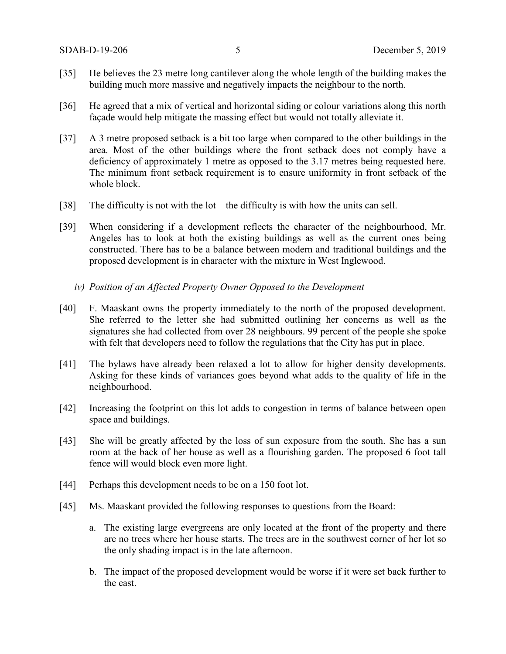- [35] He believes the 23 metre long cantilever along the whole length of the building makes the building much more massive and negatively impacts the neighbour to the north.
- [36] He agreed that a mix of vertical and horizontal siding or colour variations along this north façade would help mitigate the massing effect but would not totally alleviate it.
- [37] A 3 metre proposed setback is a bit too large when compared to the other buildings in the area. Most of the other buildings where the front setback does not comply have a deficiency of approximately 1 metre as opposed to the 3.17 metres being requested here. The minimum front setback requirement is to ensure uniformity in front setback of the whole block.
- [38] The difficulty is not with the lot the difficulty is with how the units can sell.
- [39] When considering if a development reflects the character of the neighbourhood, Mr. Angeles has to look at both the existing buildings as well as the current ones being constructed. There has to be a balance between modern and traditional buildings and the proposed development is in character with the mixture in West Inglewood.
	- *iv) Position of an Affected Property Owner Opposed to the Development*
- [40] F. Maaskant owns the property immediately to the north of the proposed development. She referred to the letter she had submitted outlining her concerns as well as the signatures she had collected from over 28 neighbours. 99 percent of the people she spoke with felt that developers need to follow the regulations that the City has put in place.
- [41] The bylaws have already been relaxed a lot to allow for higher density developments. Asking for these kinds of variances goes beyond what adds to the quality of life in the neighbourhood.
- [42] Increasing the footprint on this lot adds to congestion in terms of balance between open space and buildings.
- [43] She will be greatly affected by the loss of sun exposure from the south. She has a sun room at the back of her house as well as a flourishing garden. The proposed 6 foot tall fence will would block even more light.
- [44] Perhaps this development needs to be on a 150 foot lot.
- [45] Ms. Maaskant provided the following responses to questions from the Board:
	- a. The existing large evergreens are only located at the front of the property and there are no trees where her house starts. The trees are in the southwest corner of her lot so the only shading impact is in the late afternoon.
	- b. The impact of the proposed development would be worse if it were set back further to the east.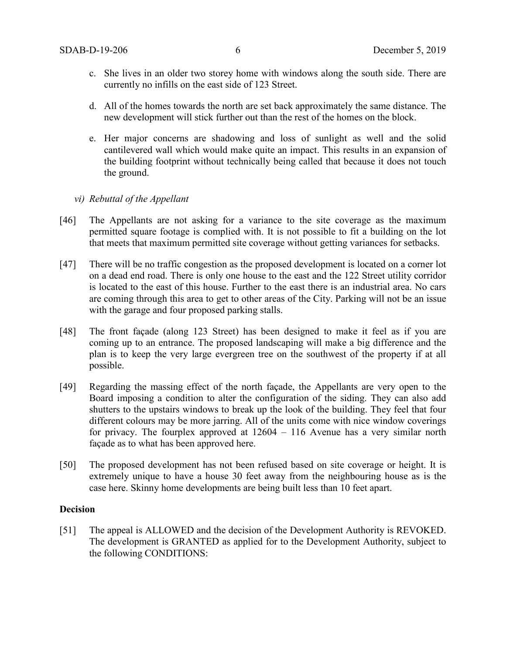- c. She lives in an older two storey home with windows along the south side. There are currently no infills on the east side of 123 Street.
- d. All of the homes towards the north are set back approximately the same distance. The new development will stick further out than the rest of the homes on the block.
- e. Her major concerns are shadowing and loss of sunlight as well and the solid cantilevered wall which would make quite an impact. This results in an expansion of the building footprint without technically being called that because it does not touch the ground.

# *vi) Rebuttal of the Appellant*

- [46] The Appellants are not asking for a variance to the site coverage as the maximum permitted square footage is complied with. It is not possible to fit a building on the lot that meets that maximum permitted site coverage without getting variances for setbacks.
- [47] There will be no traffic congestion as the proposed development is located on a corner lot on a dead end road. There is only one house to the east and the 122 Street utility corridor is located to the east of this house. Further to the east there is an industrial area. No cars are coming through this area to get to other areas of the City. Parking will not be an issue with the garage and four proposed parking stalls.
- [48] The front façade (along 123 Street) has been designed to make it feel as if you are coming up to an entrance. The proposed landscaping will make a big difference and the plan is to keep the very large evergreen tree on the southwest of the property if at all possible.
- [49] Regarding the massing effect of the north façade, the Appellants are very open to the Board imposing a condition to alter the configuration of the siding. They can also add shutters to the upstairs windows to break up the look of the building. They feel that four different colours may be more jarring. All of the units come with nice window coverings for privacy. The fourplex approved at 12604 – 116 Avenue has a very similar north façade as to what has been approved here.
- [50] The proposed development has not been refused based on site coverage or height. It is extremely unique to have a house 30 feet away from the neighbouring house as is the case here. Skinny home developments are being built less than 10 feet apart.

#### **Decision**

[51] The appeal is ALLOWED and the decision of the Development Authority is REVOKED. The development is GRANTED as applied for to the Development Authority, subject to the following CONDITIONS: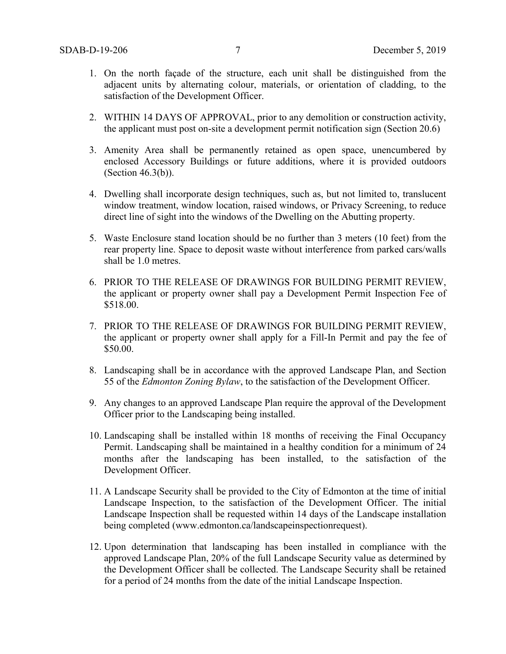- 1. On the north façade of the structure, each unit shall be distinguished from the adjacent units by alternating colour, materials, or orientation of cladding, to the satisfaction of the Development Officer.
- 2. WITHIN 14 DAYS OF APPROVAL, prior to any demolition or construction activity, the applicant must post on-site a development permit notification sign (Section 20.6)
- 3. Amenity Area shall be permanently retained as open space, unencumbered by enclosed Accessory Buildings or future additions, where it is provided outdoors (Section 46.3(b)).
- 4. Dwelling shall incorporate design techniques, such as, but not limited to, translucent window treatment, window location, raised windows, or Privacy Screening, to reduce direct line of sight into the windows of the Dwelling on the Abutting property.
- 5. Waste Enclosure stand location should be no further than 3 meters (10 feet) from the rear property line. Space to deposit waste without interference from parked cars/walls shall be 1.0 metres.
- 6. PRIOR TO THE RELEASE OF DRAWINGS FOR BUILDING PERMIT REVIEW, the applicant or property owner shall pay a Development Permit Inspection Fee of \$518.00.
- 7. PRIOR TO THE RELEASE OF DRAWINGS FOR BUILDING PERMIT REVIEW, the applicant or property owner shall apply for a Fill-In Permit and pay the fee of \$50.00.
- 8. Landscaping shall be in accordance with the approved Landscape Plan, and Section 55 of the *Edmonton Zoning Bylaw*, to the satisfaction of the Development Officer.
- 9. Any changes to an approved Landscape Plan require the approval of the Development Officer prior to the Landscaping being installed.
- 10. Landscaping shall be installed within 18 months of receiving the Final Occupancy Permit. Landscaping shall be maintained in a healthy condition for a minimum of 24 months after the landscaping has been installed, to the satisfaction of the Development Officer.
- 11. A Landscape Security shall be provided to the City of Edmonton at the time of initial Landscape Inspection, to the satisfaction of the Development Officer. The initial Landscape Inspection shall be requested within 14 days of the Landscape installation being completed (www.edmonton.ca/landscapeinspectionrequest).
- 12. Upon determination that landscaping has been installed in compliance with the approved Landscape Plan, 20% of the full Landscape Security value as determined by the Development Officer shall be collected. The Landscape Security shall be retained for a period of 24 months from the date of the initial Landscape Inspection.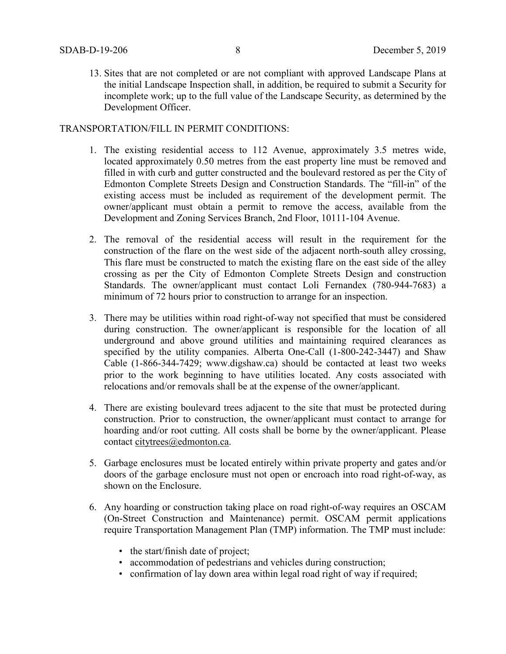13. Sites that are not completed or are not compliant with approved Landscape Plans at the initial Landscape Inspection shall, in addition, be required to submit a Security for incomplete work; up to the full value of the Landscape Security, as determined by the Development Officer.

# TRANSPORTATION/FILL IN PERMIT CONDITIONS:

- 1. The existing residential access to 112 Avenue, approximately 3.5 metres wide, located approximately 0.50 metres from the east property line must be removed and filled in with curb and gutter constructed and the boulevard restored as per the City of Edmonton Complete Streets Design and Construction Standards. The "fill-in" of the existing access must be included as requirement of the development permit. The owner/applicant must obtain a permit to remove the access, available from the Development and Zoning Services Branch, 2nd Floor, 10111-104 Avenue.
- 2. The removal of the residential access will result in the requirement for the construction of the flare on the west side of the adjacent north-south alley crossing, This flare must be constructed to match the existing flare on the east side of the alley crossing as per the City of Edmonton Complete Streets Design and construction Standards. The owner/applicant must contact Loli Fernandex (780-944-7683) a minimum of 72 hours prior to construction to arrange for an inspection.
- 3. There may be utilities within road right-of-way not specified that must be considered during construction. The owner/applicant is responsible for the location of all underground and above ground utilities and maintaining required clearances as specified by the utility companies. Alberta One-Call (1-800-242-3447) and Shaw Cable (1-866-344-7429; www.digshaw.ca) should be contacted at least two weeks prior to the work beginning to have utilities located. Any costs associated with relocations and/or removals shall be at the expense of the owner/applicant.
- 4. There are existing boulevard trees adjacent to the site that must be protected during construction. Prior to construction, the owner/applicant must contact to arrange for hoarding and/or root cutting. All costs shall be borne by the owner/applicant. Please contact [citytrees@edmonton.ca.](mailto:citytrees@edmonton.ca)
- 5. Garbage enclosures must be located entirely within private property and gates and/or doors of the garbage enclosure must not open or encroach into road right-of-way, as shown on the Enclosure.
- 6. Any hoarding or construction taking place on road right-of-way requires an OSCAM (On-Street Construction and Maintenance) permit. OSCAM permit applications require Transportation Management Plan (TMP) information. The TMP must include:
	- the start/finish date of project;
	- accommodation of pedestrians and vehicles during construction;
	- confirmation of lay down area within legal road right of way if required;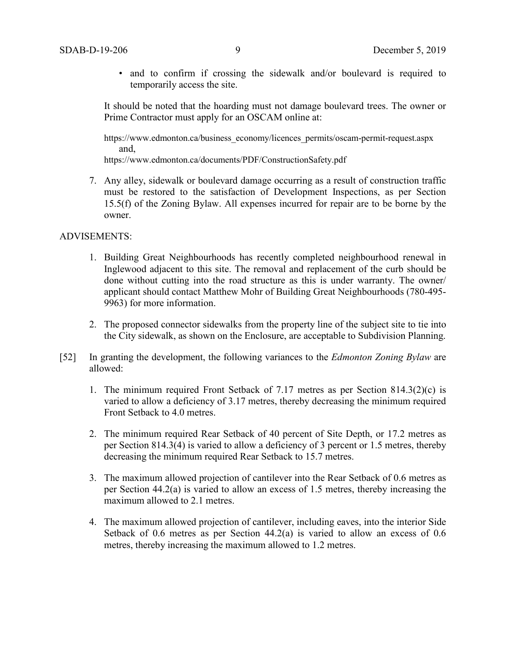• and to confirm if crossing the sidewalk and/or boulevard is required to temporarily access the site.

It should be noted that the hoarding must not damage boulevard trees. The owner or Prime Contractor must apply for an OSCAM online at:

https://www.edmonton.ca/business\_economy/licences\_permits/oscam-permit-request.aspx and,

https://www.edmonton.ca/documents/PDF/ConstructionSafety.pdf

7. Any alley, sidewalk or boulevard damage occurring as a result of construction traffic must be restored to the satisfaction of Development Inspections, as per Section 15.5(f) of the Zoning Bylaw. All expenses incurred for repair are to be borne by the owner.

# ADVISEMENTS:

- 1. Building Great Neighbourhoods has recently completed neighbourhood renewal in Inglewood adjacent to this site. The removal and replacement of the curb should be done without cutting into the road structure as this is under warranty. The owner/ applicant should contact Matthew Mohr of Building Great Neighbourhoods (780-495- 9963) for more information.
- 2. The proposed connector sidewalks from the property line of the subject site to tie into the City sidewalk, as shown on the Enclosure, are acceptable to Subdivision Planning.
- [52] In granting the development, the following variances to the *Edmonton Zoning Bylaw* are allowed:
	- 1. The minimum required Front Setback of 7.17 metres as per Section 814.3(2)(c) is varied to allow a deficiency of 3.17 metres, thereby decreasing the minimum required Front Setback to 4.0 metres.
	- 2. The minimum required Rear Setback of 40 percent of Site Depth, or 17.2 metres as per Section 814.3(4) is varied to allow a deficiency of 3 percent or 1.5 metres, thereby decreasing the minimum required Rear Setback to 15.7 metres.
	- 3. The maximum allowed projection of cantilever into the Rear Setback of 0.6 metres as per Section 44.2(a) is varied to allow an excess of 1.5 metres, thereby increasing the maximum allowed to 2.1 metres.
	- 4. The maximum allowed projection of cantilever, including eaves, into the interior Side Setback of 0.6 metres as per Section 44.2(a) is varied to allow an excess of 0.6 metres, thereby increasing the maximum allowed to 1.2 metres.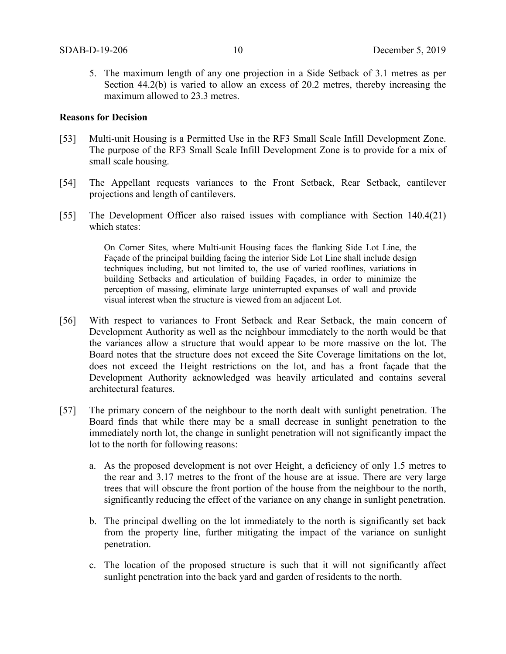5. The maximum length of any one projection in a Side Setback of 3.1 metres as per Section 44.2(b) is varied to allow an excess of 20.2 metres, thereby increasing the maximum allowed to 23.3 metres.

#### **Reasons for Decision**

- [53] Multi-unit Housing is a Permitted Use in the RF3 Small Scale Infill Development Zone. The purpose of the RF3 Small Scale Infill Development Zone is to provide for a mix of small scale housing.
- [54] The Appellant requests variances to the Front Setback, Rear Setback, cantilever projections and length of cantilevers.
- [55] The Development Officer also raised issues with compliance with Section 140.4(21) which states:

On Corner Sites, where Multi-unit Housing faces the flanking Side Lot Line, the Façade of the principal building facing the interior Side Lot Line shall include design techniques including, but not limited to, the use of varied rooflines, variations in building Setbacks and articulation of building Façades, in order to minimize the perception of massing, eliminate large uninterrupted expanses of wall and provide visual interest when the structure is viewed from an adjacent Lot.

- [56] With respect to variances to Front Setback and Rear Setback, the main concern of Development Authority as well as the neighbour immediately to the north would be that the variances allow a structure that would appear to be more massive on the lot. The Board notes that the structure does not exceed the Site Coverage limitations on the lot, does not exceed the Height restrictions on the lot, and has a front façade that the Development Authority acknowledged was heavily articulated and contains several architectural features.
- [57] The primary concern of the neighbour to the north dealt with sunlight penetration. The Board finds that while there may be a small decrease in sunlight penetration to the immediately north lot, the change in sunlight penetration will not significantly impact the lot to the north for following reasons:
	- a. As the proposed development is not over Height, a deficiency of only 1.5 metres to the rear and 3.17 metres to the front of the house are at issue. There are very large trees that will obscure the front portion of the house from the neighbour to the north, significantly reducing the effect of the variance on any change in sunlight penetration.
	- b. The principal dwelling on the lot immediately to the north is significantly set back from the property line, further mitigating the impact of the variance on sunlight penetration.
	- c. The location of the proposed structure is such that it will not significantly affect sunlight penetration into the back yard and garden of residents to the north.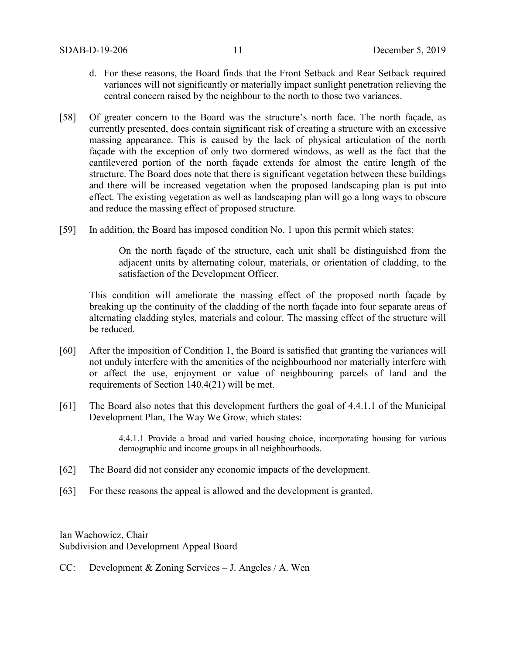- d. For these reasons, the Board finds that the Front Setback and Rear Setback required variances will not significantly or materially impact sunlight penetration relieving the central concern raised by the neighbour to the north to those two variances.
- [58] Of greater concern to the Board was the structure's north face. The north façade, as currently presented, does contain significant risk of creating a structure with an excessive massing appearance. This is caused by the lack of physical articulation of the north façade with the exception of only two dormered windows, as well as the fact that the cantilevered portion of the north façade extends for almost the entire length of the structure. The Board does note that there is significant vegetation between these buildings and there will be increased vegetation when the proposed landscaping plan is put into effect. The existing vegetation as well as landscaping plan will go a long ways to obscure and reduce the massing effect of proposed structure.
- [59] In addition, the Board has imposed condition No. 1 upon this permit which states:

On the north façade of the structure, each unit shall be distinguished from the adjacent units by alternating colour, materials, or orientation of cladding, to the satisfaction of the Development Officer.

This condition will ameliorate the massing effect of the proposed north façade by breaking up the continuity of the cladding of the north façade into four separate areas of alternating cladding styles, materials and colour. The massing effect of the structure will be reduced.

- [60] After the imposition of Condition 1, the Board is satisfied that granting the variances will not unduly interfere with the amenities of the neighbourhood nor materially interfere with or affect the use, enjoyment or value of neighbouring parcels of land and the requirements of Section 140.4(21) will be met.
- [61] The Board also notes that this development furthers the goal of 4.4.1.1 of the Municipal Development Plan, The Way We Grow, which states:

4.4.1.1 Provide a broad and varied housing choice, incorporating housing for various demographic and income groups in all neighbourhoods.

- [62] The Board did not consider any economic impacts of the development.
- [63] For these reasons the appeal is allowed and the development is granted.

Ian Wachowicz, Chair Subdivision and Development Appeal Board

CC: Development & Zoning Services – J. Angeles / A. Wen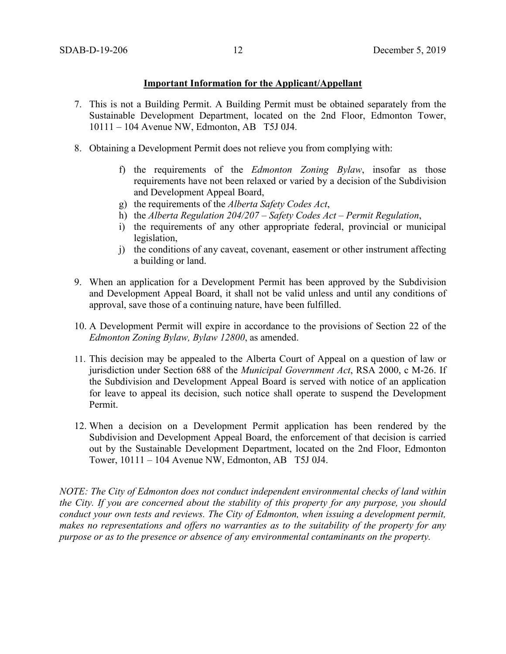# **Important Information for the Applicant/Appellant**

- 7. This is not a Building Permit. A Building Permit must be obtained separately from the Sustainable Development Department, located on the 2nd Floor, Edmonton Tower, 10111 – 104 Avenue NW, Edmonton, AB T5J 0J4.
- 8. Obtaining a Development Permit does not relieve you from complying with:
	- f) the requirements of the *Edmonton Zoning Bylaw*, insofar as those requirements have not been relaxed or varied by a decision of the Subdivision and Development Appeal Board,
	- g) the requirements of the *Alberta Safety Codes Act*,
	- h) the *Alberta Regulation 204/207 – Safety Codes Act – Permit Regulation*,
	- i) the requirements of any other appropriate federal, provincial or municipal legislation,
	- j) the conditions of any caveat, covenant, easement or other instrument affecting a building or land.
- 9. When an application for a Development Permit has been approved by the Subdivision and Development Appeal Board, it shall not be valid unless and until any conditions of approval, save those of a continuing nature, have been fulfilled.
- 10. A Development Permit will expire in accordance to the provisions of Section 22 of the *Edmonton Zoning Bylaw, Bylaw 12800*, as amended.
- 11. This decision may be appealed to the Alberta Court of Appeal on a question of law or jurisdiction under Section 688 of the *Municipal Government Act*, RSA 2000, c M-26. If the Subdivision and Development Appeal Board is served with notice of an application for leave to appeal its decision, such notice shall operate to suspend the Development Permit.
- 12. When a decision on a Development Permit application has been rendered by the Subdivision and Development Appeal Board, the enforcement of that decision is carried out by the Sustainable Development Department, located on the 2nd Floor, Edmonton Tower, 10111 – 104 Avenue NW, Edmonton, AB T5J 0J4.

*NOTE: The City of Edmonton does not conduct independent environmental checks of land within the City. If you are concerned about the stability of this property for any purpose, you should conduct your own tests and reviews. The City of Edmonton, when issuing a development permit, makes no representations and offers no warranties as to the suitability of the property for any purpose or as to the presence or absence of any environmental contaminants on the property.*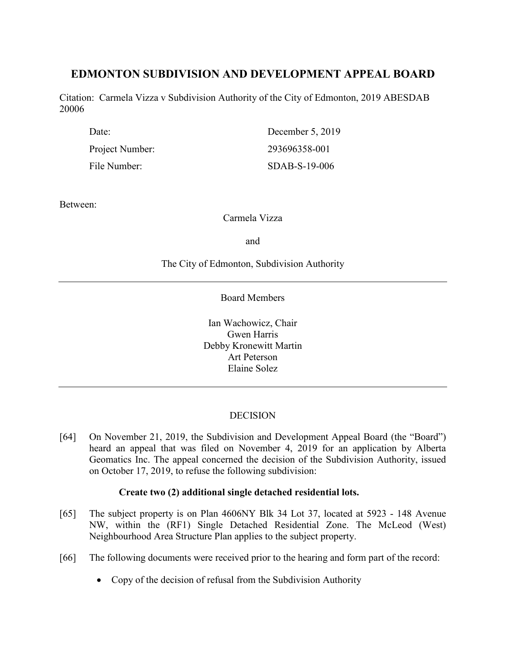# **EDMONTON SUBDIVISION AND DEVELOPMENT APPEAL BOARD**

Citation: Carmela Vizza v Subdivision Authority of the City of Edmonton, 2019 ABESDAB 20006

| Date:           | December 5, 2019 |
|-----------------|------------------|
| Project Number: | 293696358-001    |
| File Number:    | SDAB-S-19-006    |

Between:

Carmela Vizza

and

# The City of Edmonton, Subdivision Authority

Board Members

Ian Wachowicz, Chair Gwen Harris Debby Kronewitt Martin Art Peterson Elaine Solez

# DECISION

[64] On November 21, 2019, the Subdivision and Development Appeal Board (the "Board") heard an appeal that was filed on November 4, 2019 for an application by Alberta Geomatics Inc. The appeal concerned the decision of the Subdivision Authority, issued on October 17, 2019, to refuse the following subdivision:

# **Create two (2) additional single detached residential lots.**

- [65] The subject property is on Plan 4606NY Blk 34 Lot 37, located at 5923 148 Avenue NW, within the (RF1) Single Detached Residential Zone. The McLeod (West) Neighbourhood Area Structure Plan applies to the subject property.
- [66] The following documents were received prior to the hearing and form part of the record:
	- Copy of the decision of refusal from the Subdivision Authority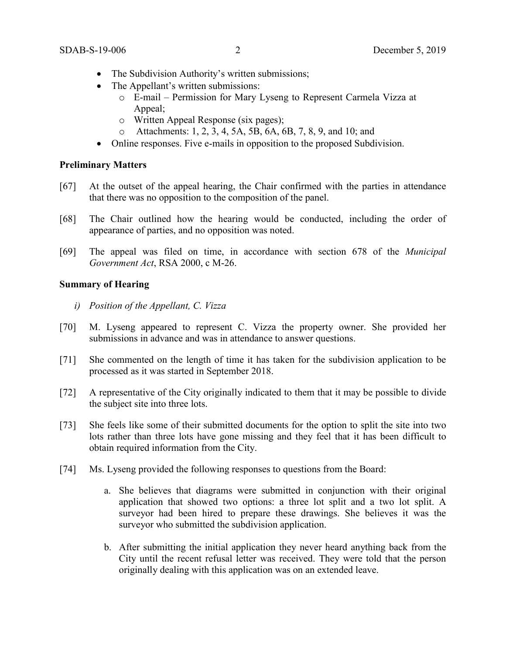- The Subdivision Authority's written submissions;
- The Appellant's written submissions:
	- o E-mail Permission for Mary Lyseng to Represent Carmela Vizza at Appeal;
	- o Written Appeal Response (six pages);
	- o Attachments: 1, 2, 3, 4, 5A, 5B, 6A, 6B, 7, 8, 9, and 10; and
- Online responses. Five e-mails in opposition to the proposed Subdivision.

# **Preliminary Matters**

- [67] At the outset of the appeal hearing, the Chair confirmed with the parties in attendance that there was no opposition to the composition of the panel.
- [68] The Chair outlined how the hearing would be conducted, including the order of appearance of parties, and no opposition was noted.
- [69] The appeal was filed on time, in accordance with section 678 of the *Municipal Government Act*, RSA 2000, c M-26.

# **Summary of Hearing**

- *i) Position of the Appellant, C. Vizza*
- [70] M. Lyseng appeared to represent C. Vizza the property owner. She provided her submissions in advance and was in attendance to answer questions.
- [71] She commented on the length of time it has taken for the subdivision application to be processed as it was started in September 2018.
- [72] A representative of the City originally indicated to them that it may be possible to divide the subject site into three lots.
- [73] She feels like some of their submitted documents for the option to split the site into two lots rather than three lots have gone missing and they feel that it has been difficult to obtain required information from the City.
- [74] Ms. Lyseng provided the following responses to questions from the Board:
	- a. She believes that diagrams were submitted in conjunction with their original application that showed two options: a three lot split and a two lot split. A surveyor had been hired to prepare these drawings. She believes it was the surveyor who submitted the subdivision application.
	- b. After submitting the initial application they never heard anything back from the City until the recent refusal letter was received. They were told that the person originally dealing with this application was on an extended leave.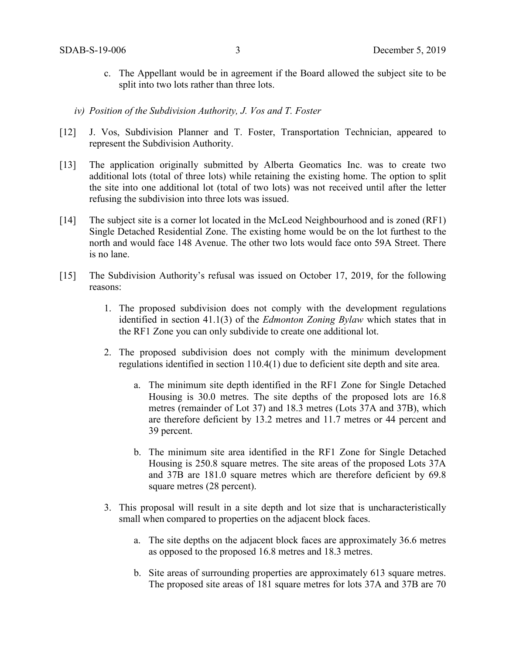- c. The Appellant would be in agreement if the Board allowed the subject site to be split into two lots rather than three lots.
- *iv) Position of the Subdivision Authority, J. Vos and T. Foster*
- [12] J. Vos, Subdivision Planner and T. Foster, Transportation Technician, appeared to represent the Subdivision Authority.
- [13] The application originally submitted by Alberta Geomatics Inc. was to create two additional lots (total of three lots) while retaining the existing home. The option to split the site into one additional lot (total of two lots) was not received until after the letter refusing the subdivision into three lots was issued.
- [14] The subject site is a corner lot located in the McLeod Neighbourhood and is zoned (RF1) Single Detached Residential Zone. The existing home would be on the lot furthest to the north and would face 148 Avenue. The other two lots would face onto 59A Street. There is no lane.
- [15] The Subdivision Authority's refusal was issued on October 17, 2019, for the following reasons:
	- 1. The proposed subdivision does not comply with the development regulations identified in section 41.1(3) of the *Edmonton Zoning Bylaw* which states that in the RF1 Zone you can only subdivide to create one additional lot.
	- 2. The proposed subdivision does not comply with the minimum development regulations identified in section 110.4(1) due to deficient site depth and site area.
		- a. The minimum site depth identified in the RF1 Zone for Single Detached Housing is 30.0 metres. The site depths of the proposed lots are 16.8 metres (remainder of Lot 37) and 18.3 metres (Lots 37A and 37B), which are therefore deficient by 13.2 metres and 11.7 metres or 44 percent and 39 percent.
		- b. The minimum site area identified in the RF1 Zone for Single Detached Housing is 250.8 square metres. The site areas of the proposed Lots 37A and 37B are 181.0 square metres which are therefore deficient by 69.8 square metres (28 percent).
	- 3. This proposal will result in a site depth and lot size that is uncharacteristically small when compared to properties on the adjacent block faces.
		- a. The site depths on the adjacent block faces are approximately 36.6 metres as opposed to the proposed 16.8 metres and 18.3 metres.
		- b. Site areas of surrounding properties are approximately 613 square metres. The proposed site areas of 181 square metres for lots 37A and 37B are 70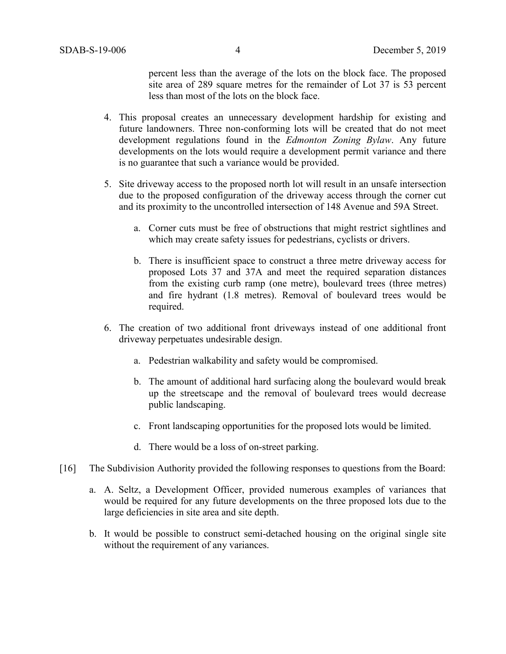percent less than the average of the lots on the block face. The proposed site area of 289 square metres for the remainder of Lot 37 is 53 percent less than most of the lots on the block face.

- 4. This proposal creates an unnecessary development hardship for existing and future landowners. Three non-conforming lots will be created that do not meet development regulations found in the *Edmonton Zoning Bylaw*. Any future developments on the lots would require a development permit variance and there is no guarantee that such a variance would be provided.
- 5. Site driveway access to the proposed north lot will result in an unsafe intersection due to the proposed configuration of the driveway access through the corner cut and its proximity to the uncontrolled intersection of 148 Avenue and 59A Street.
	- a. Corner cuts must be free of obstructions that might restrict sightlines and which may create safety issues for pedestrians, cyclists or drivers.
	- b. There is insufficient space to construct a three metre driveway access for proposed Lots 37 and 37A and meet the required separation distances from the existing curb ramp (one metre), boulevard trees (three metres) and fire hydrant (1.8 metres). Removal of boulevard trees would be required.
- 6. The creation of two additional front driveways instead of one additional front driveway perpetuates undesirable design.
	- a. Pedestrian walkability and safety would be compromised.
	- b. The amount of additional hard surfacing along the boulevard would break up the streetscape and the removal of boulevard trees would decrease public landscaping.
	- c. Front landscaping opportunities for the proposed lots would be limited.
	- d. There would be a loss of on-street parking.
- [16] The Subdivision Authority provided the following responses to questions from the Board:
	- a. A. Seltz, a Development Officer, provided numerous examples of variances that would be required for any future developments on the three proposed lots due to the large deficiencies in site area and site depth.
	- b. It would be possible to construct semi-detached housing on the original single site without the requirement of any variances.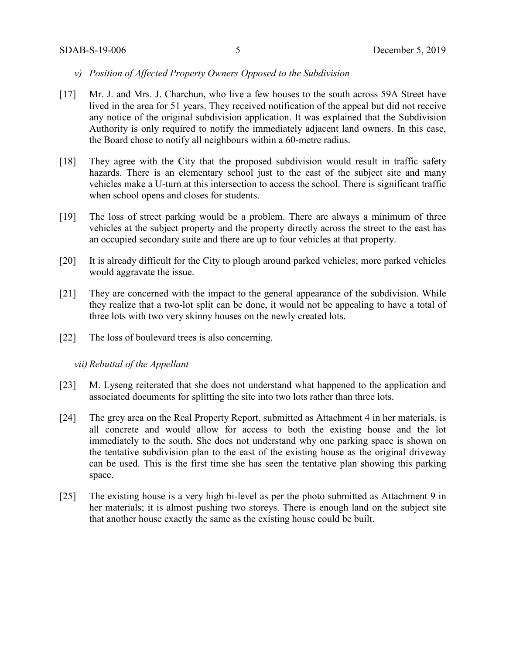- *v) Position of Affected Property Owners Opposed to the Subdivision*
- [17] Mr. J. and Mrs. J. Charchun, who live a few houses to the south across 59A Street have lived in the area for 51 years. They received notification of the appeal but did not receive any notice of the original subdivision application. It was explained that the Subdivision Authority is only required to notify the immediately adjacent land owners. In this case, the Board chose to notify all neighbours within a 60-metre radius.
- [18] They agree with the City that the proposed subdivision would result in traffic safety hazards. There is an elementary school just to the east of the subject site and many vehicles make a U-turn at this intersection to access the school. There is significant traffic when school opens and closes for students.
- [19] The loss of street parking would be a problem. There are always a minimum of three vehicles at the subject property and the property directly across the street to the east has an occupied secondary suite and there are up to four vehicles at that property.
- [20] It is already difficult for the City to plough around parked vehicles; more parked vehicles would aggravate the issue.
- [21] They are concerned with the impact to the general appearance of the subdivision. While they realize that a two-lot split can be done, it would not be appealing to have a total of three lots with two very skinny houses on the newly created lots.
- [22] The loss of boulevard trees is also concerning.

*vii) Rebuttal of the Appellant*

- [23] M. Lyseng reiterated that she does not understand what happened to the application and associated documents for splitting the site into two lots rather than three lots.
- [24] The grey area on the Real Property Report, submitted as Attachment 4 in her materials, is all concrete and would allow for access to both the existing house and the lot immediately to the south. She does not understand why one parking space is shown on the tentative subdivision plan to the east of the existing house as the original driveway can be used. This is the first time she has seen the tentative plan showing this parking space.
- [25] The existing house is a very high bi-level as per the photo submitted as Attachment 9 in her materials; it is almost pushing two storeys. There is enough land on the subject site that another house exactly the same as the existing house could be built.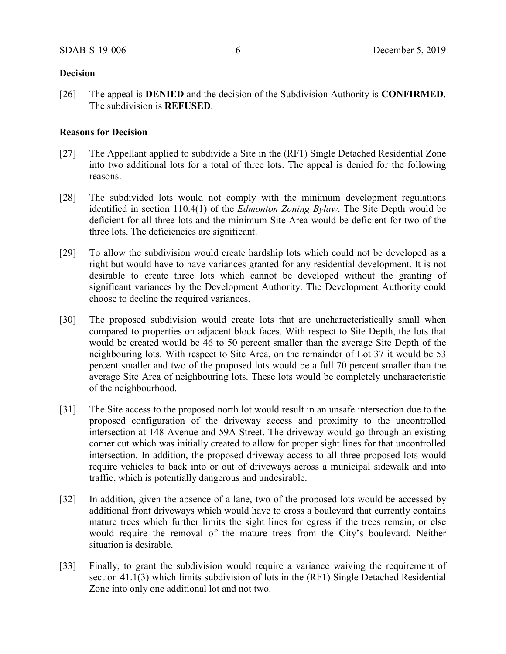# **Decision**

[26] The appeal is **DENIED** and the decision of the Subdivision Authority is **CONFIRMED**. The subdivision is **REFUSED**.

# **Reasons for Decision**

- [27] The Appellant applied to subdivide a Site in the (RF1) Single Detached Residential Zone into two additional lots for a total of three lots. The appeal is denied for the following reasons.
- [28] The subdivided lots would not comply with the minimum development regulations identified in section 110.4(1) of the *Edmonton Zoning Bylaw*. The Site Depth would be deficient for all three lots and the minimum Site Area would be deficient for two of the three lots. The deficiencies are significant.
- [29] To allow the subdivision would create hardship lots which could not be developed as a right but would have to have variances granted for any residential development. It is not desirable to create three lots which cannot be developed without the granting of significant variances by the Development Authority. The Development Authority could choose to decline the required variances.
- [30] The proposed subdivision would create lots that are uncharacteristically small when compared to properties on adjacent block faces. With respect to Site Depth, the lots that would be created would be 46 to 50 percent smaller than the average Site Depth of the neighbouring lots. With respect to Site Area, on the remainder of Lot 37 it would be 53 percent smaller and two of the proposed lots would be a full 70 percent smaller than the average Site Area of neighbouring lots. These lots would be completely uncharacteristic of the neighbourhood.
- [31] The Site access to the proposed north lot would result in an unsafe intersection due to the proposed configuration of the driveway access and proximity to the uncontrolled intersection at 148 Avenue and 59A Street. The driveway would go through an existing corner cut which was initially created to allow for proper sight lines for that uncontrolled intersection. In addition, the proposed driveway access to all three proposed lots would require vehicles to back into or out of driveways across a municipal sidewalk and into traffic, which is potentially dangerous and undesirable.
- [32] In addition, given the absence of a lane, two of the proposed lots would be accessed by additional front driveways which would have to cross a boulevard that currently contains mature trees which further limits the sight lines for egress if the trees remain, or else would require the removal of the mature trees from the City's boulevard. Neither situation is desirable.
- [33] Finally, to grant the subdivision would require a variance waiving the requirement of section 41.1(3) which limits subdivision of lots in the (RF1) Single Detached Residential Zone into only one additional lot and not two.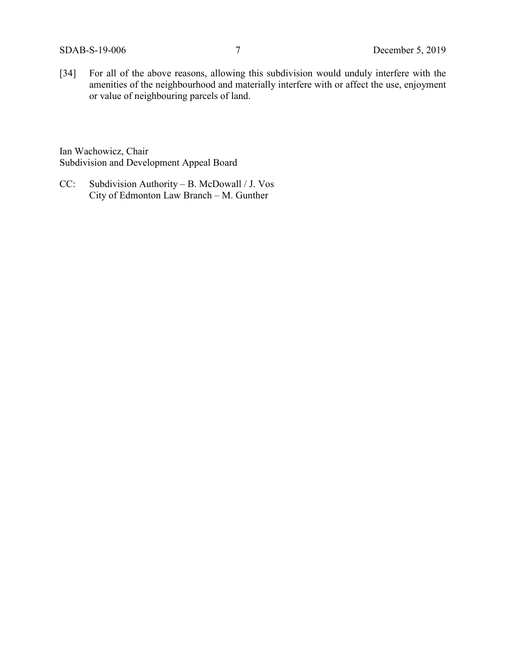[34] For all of the above reasons, allowing this subdivision would unduly interfere with the amenities of the neighbourhood and materially interfere with or affect the use, enjoyment or value of neighbouring parcels of land.

Ian Wachowicz, Chair Subdivision and Development Appeal Board

CC: Subdivision Authority – B. McDowall / J. Vos City of Edmonton Law Branch – M. Gunther